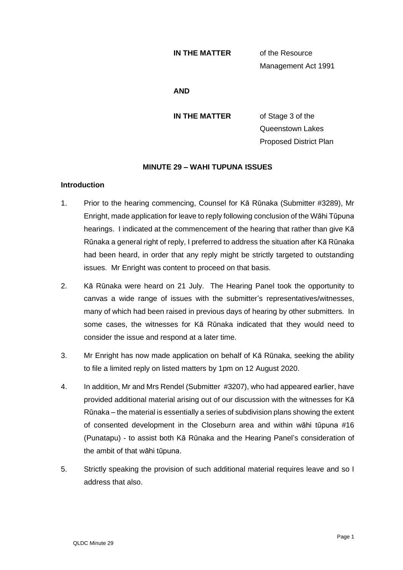### **IN THE MATTER** of the Resource

Management Act 1991

### **AND**

**IN THE MATTER** of Stage 3 of the Queenstown Lakes Proposed District Plan

## **MINUTE 29 – WAHI TUPUNA ISSUES**

### **Introduction**

- 1. Prior to the hearing commencing, Counsel for Kā Rūnaka (Submitter #3289), Mr Enright, made application for leave to reply following conclusion of the Wāhi Tūpuna hearings. I indicated at the commencement of the hearing that rather than give Kā Rūnaka a general right of reply, I preferred to address the situation after Kā Rūnaka had been heard, in order that any reply might be strictly targeted to outstanding issues. Mr Enright was content to proceed on that basis.
- 2. Kā Rūnaka were heard on 21 July. The Hearing Panel took the opportunity to canvas a wide range of issues with the submitter's representatives/witnesses, many of which had been raised in previous days of hearing by other submitters. In some cases, the witnesses for Kā Rūnaka indicated that they would need to consider the issue and respond at a later time.
- 3. Mr Enright has now made application on behalf of Kā Rūnaka, seeking the ability to file a limited reply on listed matters by 1pm on 12 August 2020.
- 4. In addition, Mr and Mrs Rendel (Submitter #3207), who had appeared earlier, have provided additional material arising out of our discussion with the witnesses for Kā Rūnaka – the material is essentially a series of subdivision plans showing the extent of consented development in the Closeburn area and within wāhi tūpuna #16 (Punatapu) - to assist both Kā Rūnaka and the Hearing Panel's consideration of the ambit of that wāhi tūpuna.
- 5. Strictly speaking the provision of such additional material requires leave and so I address that also.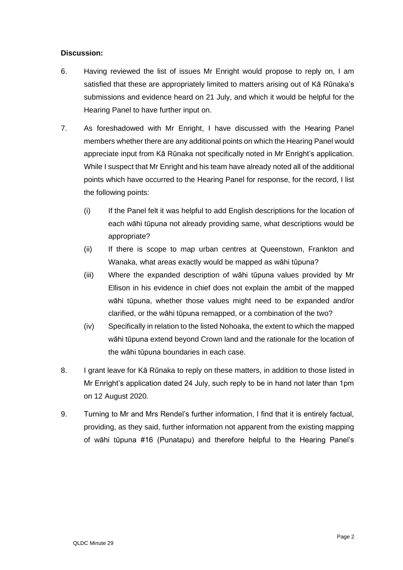# **Discussion:**

- 6. Having reviewed the list of issues Mr Enright would propose to reply on, I am satisfied that these are appropriately limited to matters arising out of Kā Rūnaka's submissions and evidence heard on 21 July, and which it would be helpful for the Hearing Panel to have further input on.
- 7. As foreshadowed with Mr Enright, I have discussed with the Hearing Panel members whether there are any additional points on which the Hearing Panel would appreciate input from Kā Rūnaka not specifically noted in Mr Enright's application. While I suspect that Mr Enright and his team have already noted all of the additional points which have occurred to the Hearing Panel for response, for the record, I list the following points:
	- (i) If the Panel felt it was helpful to add English descriptions for the location of each wāhi tūpuna not already providing same, what descriptions would be appropriate?
	- (ii) If there is scope to map urban centres at Queenstown, Frankton and Wanaka, what areas exactly would be mapped as wāhi tūpuna?
	- (iii) Where the expanded description of wāhi tūpuna values provided by Mr Ellison in his evidence in chief does not explain the ambit of the mapped wāhi tūpuna, whether those values might need to be expanded and/or clarified, or the wāhi tūpuna remapped, or a combination of the two?
	- (iv) Specifically in relation to the listed Nohoaka, the extent to which the mapped wāhi tūpuna extend beyond Crown land and the rationale for the location of the wāhi tūpuna boundaries in each case.
- 8. I grant leave for Kā Rūnaka to reply on these matters, in addition to those listed in Mr Enright's application dated 24 July, such reply to be in hand not later than 1pm on 12 August 2020.
- 9. Turning to Mr and Mrs Rendel's further information, I find that it is entirely factual, providing, as they said, further information not apparent from the existing mapping of wāhi tūpuna #16 (Punatapu) and therefore helpful to the Hearing Panel's